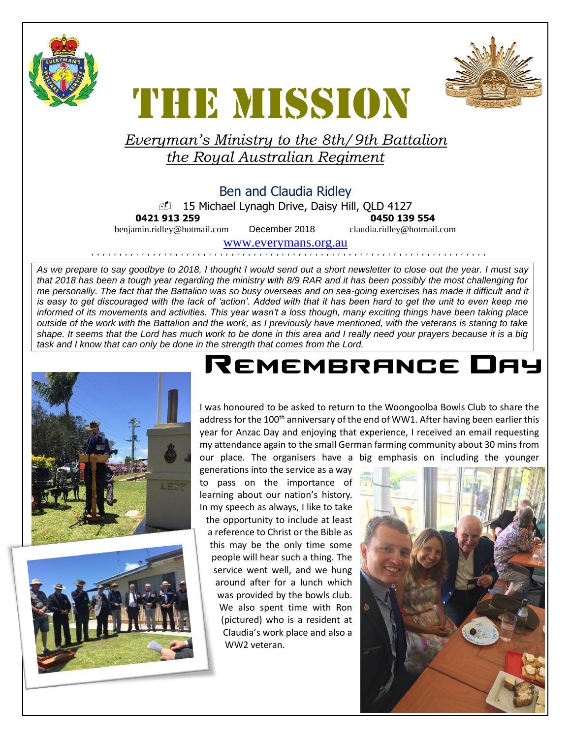



# THE MISSION

#### *Everyman's Ministry to the 8th/9th Battalion the Royal Australian Regiment*

#### Ben and Claudia Ridley

15 Michael Lynagh Drive, Daisy Hill, QLD 4127 **0421 913 259 0450 139 554**

benjamin.ridley@hotmail.com December 2018 claudia.ridley@hotmail.com

[www.everymans.org.au](http://www.everymans.org.a/)

```````````````````````````````````````````````````````````````````````

*As we prepare to say goodbye to 2018, I thought I would send out a short newsletter to close out the year. I must say that 2018 has been a tough year regarding the ministry with 8/9 RAR and it has been possibly the most challenging for me personally. The fact that the Battalion was so busy overseas and on sea-going exercises has made it difficult and it*  is easy to get discouraged with the lack of 'action'. Added with that it has been hard to get the unit to even keep me *informed of its movements and activities. This year wasn't a loss though, many exciting things have been taking place outside of the work with the Battalion and the work, as I previously have mentioned, with the veterans is staring to take shape. It seems that the Lord has much work to be done in this area and I really need your prayers because it is a big task and I know that can only be done in the strength that comes from the Lord.*





#### Remembrance Day

I was honoured to be asked to return to the Woongoolba Bowls Club to share the address for the 100<sup>th</sup> anniversary of the end of WW1. After having been earlier this year for Anzac Day and enjoying that experience, I received an email requesting my attendance again to the small German farming community about 30 mins from our place. The organisers have a big emphasis on including the younger

generations into the service as a way to pass on the importance of learning about our nation's history. In my speech as always, I like to take the opportunity to include at least a reference to Christ or the Bible as this may be the only time some people will hear such a thing. The service went well, and we hung around after for a lunch which was provided by the bowls club. We also spent time with Ron (pictured) who is a resident at Claudia's work place and also a WW2 veteran.

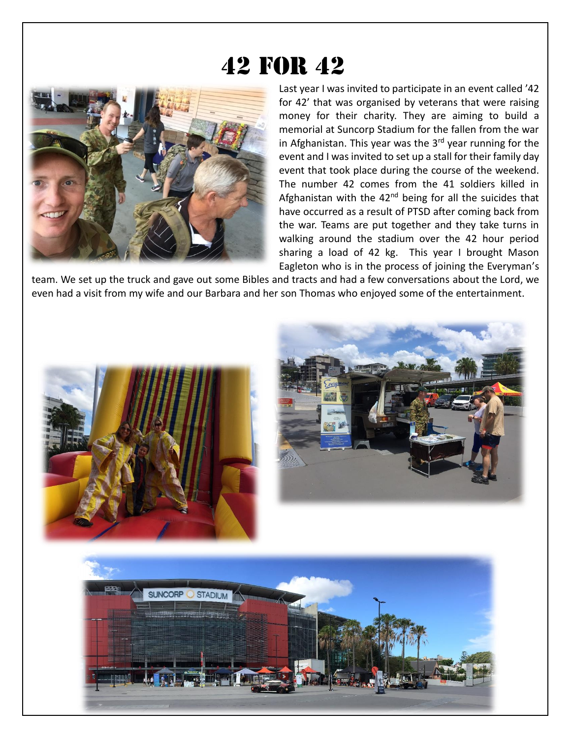### 42 for 42



Last year I was invited to participate in an event called '42 for 42' that was organised by veterans that were raising money for their charity. They are aiming to build a memorial at Suncorp Stadium for the fallen from the war in Afghanistan. This year was the  $3<sup>rd</sup>$  year running for the event and I was invited to set up a stall for their family day event that took place during the course of the weekend. The number 42 comes from the 41 soldiers killed in Afghanistan with the  $42<sup>nd</sup>$  being for all the suicides that have occurred as a result of PTSD after coming back from the war. Teams are put together and they take turns in walking around the stadium over the 42 hour period sharing a load of 42 kg. This year I brought Mason Eagleton who is in the process of joining the Everyman's

team. We set up the truck and gave out some Bibles and tracts and had a few conversations about the Lord, we even had a visit from my wife and our Barbara and her son Thomas who enjoyed some of the entertainment.